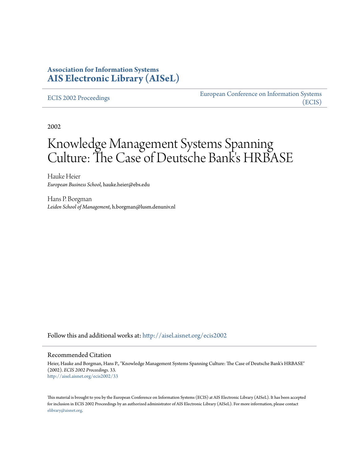# **Association for Information Systems [AIS Electronic Library \(AISeL\)](http://aisel.aisnet.org?utm_source=aisel.aisnet.org%2Fecis2002%2F33&utm_medium=PDF&utm_campaign=PDFCoverPages)**

#### [ECIS 2002 Proceedings](http://aisel.aisnet.org/ecis2002?utm_source=aisel.aisnet.org%2Fecis2002%2F33&utm_medium=PDF&utm_campaign=PDFCoverPages)

[European Conference on Information Systems](http://aisel.aisnet.org/ecis?utm_source=aisel.aisnet.org%2Fecis2002%2F33&utm_medium=PDF&utm_campaign=PDFCoverPages) [\(ECIS\)](http://aisel.aisnet.org/ecis?utm_source=aisel.aisnet.org%2Fecis2002%2F33&utm_medium=PDF&utm_campaign=PDFCoverPages)

2002

# Knowledge Management Systems Spanning Culture: The Case of Deutsche Bank's HRBASE

Hauke Heier *European Business School*, hauke.heier@ebs.edu

Hans P. Borgman *Leiden School of Management*, h.borgman@lusm.denuniv.nl

Follow this and additional works at: [http://aisel.aisnet.org/ecis2002](http://aisel.aisnet.org/ecis2002?utm_source=aisel.aisnet.org%2Fecis2002%2F33&utm_medium=PDF&utm_campaign=PDFCoverPages)

#### Recommended Citation

Heier, Hauke and Borgman, Hans P., "Knowledge Management Systems Spanning Culture: The Case of Deutsche Bank's HRBASE" (2002). *ECIS 2002 Proceedings*. 33. [http://aisel.aisnet.org/ecis2002/33](http://aisel.aisnet.org/ecis2002/33?utm_source=aisel.aisnet.org%2Fecis2002%2F33&utm_medium=PDF&utm_campaign=PDFCoverPages)

This material is brought to you by the European Conference on Information Systems (ECIS) at AIS Electronic Library (AISeL). It has been accepted for inclusion in ECIS 2002 Proceedings by an authorized administrator of AIS Electronic Library (AISeL). For more information, please contact [elibrary@aisnet.org.](mailto:elibrary@aisnet.org%3E)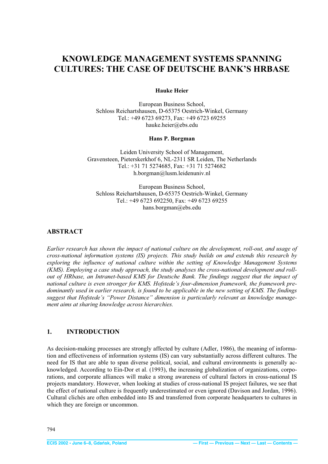# <span id="page-1-0"></span>**KNOWLEDGE MANAGEMENT SYSTEMS SPANNING CULTURES: THE CASE OF DEUTSCHE BANK'S HRBASE**

#### **Hauke Heier**

European Business School, Schloss Reichartshausen, D-65375 Oestrich-Winkel, Germany Tel.: +49 6723 69273, Fax: +49 6723 69255 hauke.heier@ebs.edu

#### **Hans P. Borgman**

Leiden University School of Management, Gravensteen, Pieterskerkhof 6, NL-2311 SR Leiden, The Netherlands Tel.: +31 71 5274685, Fax: +31 71 5274682 h.borgman@lusm.leidenuniv.nl

European Business School, Schloss Reichartshausen, D-65375 Oestrich-Winkel, Germany Tel.: +49 6723 692250, Fax: +49 6723 69255 hans.borgman@ebs.edu

#### **ABSTRACT**

*Earlier research has shown the impact of national culture on the development, roll-out, and usage of cross-national information systems (IS) projects. This study builds on and extends this research by exploring the influence of national culture within the setting of Knowledge Management Systems (KMS). Employing a case study approach, the study analyses the cross-national development and rollout of HRbase, an Intranet-based KMS for Deutsche Bank. The findings suggest that the impact of national culture is even stronger for KMS. Hofstede's four-dimension framework, the framework predominantly used in earlier research, is found to be applicable in the new setting of KMS. The findings suggest that Hofstede's "Power Distance" dimension is particularly relevant as knowledge management aims at sharing knowledge across hierarchies.* 

# **1. INTRODUCTION**

As decision-making processes are strongly affected by culture (Adler, 1986), the meaning of information and effectiveness of information systems (IS) can vary substantially across different cultures. The need for IS that are able to span diverse political, social, and cultural environments is generally acknowledged. According to Ein-Dor et al. (1993), the increasing globalization of organizations, corporations, and corporate alliances will make a strong awareness of cultural factors in cross-national IS projects mandatory. However, when looking at studies of cross-national IS project failures, we see that the effect of national culture is frequently underestimated or even ignored (Davison and Jordan, 1996). Cultural clichés are often embedded into IS and transferred from corporate headquarters to cultures in which they are foreign or uncommon.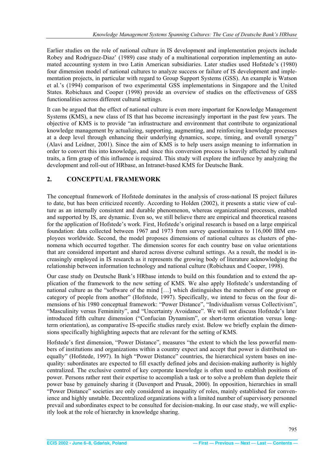<span id="page-2-0"></span>Earlier studies on the role of national culture in IS development and implementation projects include Robey and Rodriguez-Diaz' (1989) case study of a multinational corporation implementing an automated accounting system in two Latin American subsidiaries. Later studies used Hofstede's (1980) four dimension model of national cultures to analyze success or failure of IS development and implementation projects, in particular with regard to Group Support Systems (GSS). An example is Watson et al.'s (1994) comparison of two experimental GSS implementations in Singapore and the United States. Robichaux and Cooper (1998) provide an overview of studies on the effectiveness of GSS functionalities across different cultural settings.

It can be argued that the effect of national culture is even more important for Knowledge Management Systems (KMS), a new class of IS that has become increasingly important in the past few years. The objective of KMS is to provide "an infrastructure and environment that contribute to organizational knowledge management by actualizing, supporting, augmenting, and reinforcing knowledge processes at a deep level through enhancing their underlying dynamics, scope, timing, and overall synergy" (Alavi and Leidner, 2001). Since the aim of KMS is to help users assign meaning to information in order to convert this into knowledge, and since this conversion process is heavily affected by cultural traits, a firm grasp of this influence is required. This study will explore the influence by analyzing the development and roll-out of HRbase, an Intranet-based KMS for Deutsche Bank.

## **2. CONCEPTUAL FRAMEWORK**

The conceptual framework of Hofstede dominates in the analysis of cross-national IS project failures to date, but has been criticized recently. According to Holden (2002), it presents a static view of culture as an internally consistent and durable phenomenon, whereas organizational processes, enabled and supported by IS, are dynamic. Even so, we still believe there are empirical and theoretical reasons for the application of Hofstede's work. First, Hofstede's original research is based on a large empirical foundation: data collected between 1967 and 1973 from survey questionnaires to 116,000 IBM employees worldwide. Second, the model proposes dimensions of national cultures as clusters of phenomena which occurred together. The dimension scores for each country base on value orientations that are considered important and shared across diverse cultural settings. As a result, the model is increasingly employed in IS research as it represents the growing body of literature acknowledging the relationship between information technology and national culture (Robichaux and Cooper, 1998).

Our case study on Deutsche Bank's HRbase intends to build on this foundation and to extend the application of the framework to the new setting of KMS. We also apply Hofstede's understanding of national culture as the "software of the mind […] which distinguishes the members of one group or category of people from another" (Hofstede, 1997). Specifically, we intend to focus on the four dimensions of his 1980 conceptual framework: "Power Distance", "Individualism versus Collectivism", "Masculinity versus Femininity", and "Uncertainty Avoidance". We will not discuss Hofstede's later introduced fifth culture dimension ("Confucian Dynamism", or short-term orientation versus longterm orientation), as comparative IS-specific studies rarely exist. Below we briefly explain the dimensions specifically highlighting aspects that are relevant for the setting of KMS.

Hofstede's first dimension, "Power Distance", measures "the extent to which the less powerful members of institutions and organizations within a country expect and accept that power is distributed unequally" (Hofstede, 1997). In high "Power Distance" countries, the hierarchical system bases on inequality: subordinates are expected to fill exactly defined jobs and decision-making authority is highly centralized. The exclusive control of key corporate knowledge is often used to establish positions of power. Persons rather rent their expertise to accomplish a task or to solve a problem than deplete their power base by genuinely sharing it (Davenport and Prusak, 2000). In opposition, hierarchies in small "Power Distance" societies are only considered as inequality of roles, mainly established for convenience and highly unstable. Decentralized organizations with a limited number of supervisory personnel prevail and subordinates expect to be consulted for decision-making. In our case study, we will explicitly look at the role of hierarchy in knowledge sharing.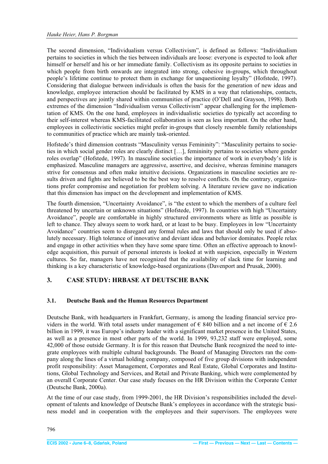<span id="page-3-0"></span>The second dimension, "Individualism versus Collectivism", is defined as follows: "Individualism pertains to societies in which the ties between individuals are loose: everyone is expected to look after himself or herself and his or her immediate family. Collectivism as its opposite pertains to societies in which people from birth onwards are integrated into strong, cohesive in-groups, which throughout people's lifetime continue to protect them in exchange for unquestioning loyalty" (Hofstede, 1997). Considering that dialogue between individuals is often the basis for the generation of new ideas and knowledge, employee interaction should be facilitated by KMS in a way that relationships, contacts, and perspectives are jointly shared within communities of practice (O'Dell and Grayson, 1998). Both extremes of the dimension "Individualism versus Collectivism" appear challenging for the implementation of KMS. On the one hand, employees in individualistic societies do typically act according to their self-interest whereas KMS-facilitated collaboration is seen as less important. On the other hand, employees in collectivistic societies might prefer in-groups that closely resemble family relationships to communities of practice which are mainly task-oriented.

Hofstede's third dimension contrasts "Masculinity versus Femininity": "Masculinity pertains to societies in which social gender roles are clearly distinct […], femininity pertains to societies where gender roles overlap" (Hofstede, 1997). In masculine societies the importance of work in everybody's life is emphasized. Masculine managers are aggressive, assertive, and decisive, whereas feminine managers strive for consensus and often make intuitive decisions. Organizations in masculine societies are results driven and fights are believed to be the best way to resolve conflicts. On the contrary, organizations prefer compromise and negotiation for problem solving. A literature review gave no indication that this dimension has impact on the development and implementation of KMS.

The fourth dimension, "Uncertainty Avoidance", is "the extent to which the members of a culture feel threatened by uncertain or unknown situations" (Hofstede, 1997). In countries with high "Uncertainty Avoidance", people are comfortable in highly structured environments where as little as possible is left to chance. They always seem to work hard, or at least to be busy. Employees in low "Uncertainty Avoidance" countries seem to disregard any formal rules and laws that should only be used if absolutely necessary. High tolerance of innovative and deviant ideas and behavior dominates. People relax and engage in other activities when they have some spare time. Often an effective approach to knowledge acquisition, this pursuit of personal interests is looked at with suspicion, especially in Western cultures. So far, managers have not recognized that the availability of slack time for learning and thinking is a key characteristic of knowledge-based organizations (Davenport and Prusak, 2000).

#### **3. CASE STUDY: HRBASE AT DEUTSCHE BANK**

#### **3.1. Deutsche Bank and the Human Resources Department**

Deutsche Bank, with headquarters in Frankfurt, Germany, is among the leading financial service providers in the world. With total assets under management of  $\epsilon$  840 billion and a net income of  $\epsilon$  2.6 billion in 1999, it was Europe's industry leader with a significant market presence in the United States, as well as a presence in most other parts of the world. In 1999, 93,232 staff were employed, some 42,000 of those outside Germany. It is for this reason that Deutsche Bank recognized the need to integrate employees with multiple cultural backgrounds. The Board of Managing Directors ran the company along the lines of a virtual holding company, composed of five group divisions with independent profit responsibility: Asset Management, Corporates and Real Estate, Global Corporates and Institutions, Global Technology and Services, and Retail and Private Banking, which were complemented by an overall Corporate Center. Our case study focuses on the HR Division within the Corporate Center (Deutsche Bank, 2000a).

At the time of our case study, from 1999-2001, the HR Division's responsibilities included the development of talents and knowledge of Deutsche Bank's employees in accordance with the strategic business model and in cooperation with the employees and their supervisors. The employees were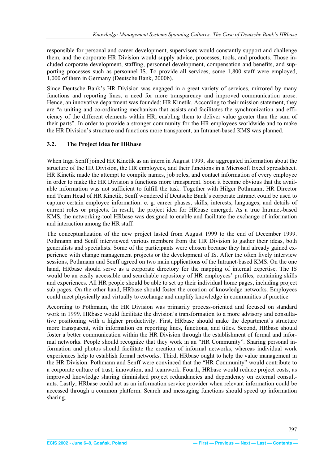<span id="page-4-0"></span>responsible for personal and career development, supervisors would constantly support and challenge them, and the corporate HR Division would supply advice, processes, tools, and products. Those included corporate development, staffing, personnel development, compensation and benefits, and supporting processes such as personnel IS. To provide all services, some 1,800 staff were employed, 1,000 of them in Germany (Deutsche Bank, 2000b).

Since Deutsche Bank's HR Division was engaged in a great variety of services, mirrored by many functions and reporting lines, a need for more transparency and improved communication arose. Hence, an innovative department was founded: HR Kinetik. According to their mission statement, they are "a uniting and co-ordinating mechanism that assists and facilitates the synchronization and efficiency of the different elements within HR, enabling them to deliver value greater than the sum of their parts". In order to provide a stronger community for the HR employees worldwide and to make the HR Division's structure and functions more transparent, an Intranet-based KMS was planned.

#### **3.2. The Project Idea for HRbase**

When Inga Senff joined HR Kinetik as an intern in August 1999, she aggregated information about the structure of the HR Division, the HR employees, and their functions in a Microsoft Excel spreadsheet. HR Kinetik made the attempt to compile names, job roles, and contact information of every employee in order to make the HR Division's functions more transparent. Soon it became obvious that the available information was not sufficient to fulfill the task. Together with Hilger Pothmann, HR Director and Team Head of HR Kinetik, Senff wondered if Deutsche Bank's corporate Intranet could be used to capture certain employee information: e. g. career phases, skills, interests, languages, and details of current roles or projects. In result, the project idea for HRbase emerged. As a true Intranet-based KMS, the networking-tool HRbase was designed to enable and facilitate the exchange of information and interaction among the HR staff.

The conceptualization of the new project lasted from August 1999 to the end of December 1999. Pothmann and Senff interviewed various members from the HR Division to gather their ideas, both generalists and specialists. Some of the participants were chosen because they had already gained experience with change management projects or the development of IS. After the often lively interview sessions, Pothmann and Senff agreed on two main applications of the Intranet-based KMS. On the one hand, HRbase should serve as a corporate directory for the mapping of internal expertise. The IS would be an easily accessible and searchable repository of HR employees' profiles, containing skills and experiences. All HR people should be able to set up their individual home pages, including project sub pages. On the other hand, HRbase should foster the creation of knowledge networks. Employees could meet physically and virtually to exchange and amplify knowledge in communities of practice.

According to Pothmann, the HR Division was primarily process-oriented and focused on standard work in 1999. HRbase would facilitate the division's transformation to a more advisory and consultative positioning with a higher productivity. First, HRbase should make the department's structure more transparent, with information on reporting lines, functions, and titles. Second, HRbase should foster a better communication within the HR Division through the establishment of formal and informal networks. People should recognize that they work in an "HR Community". Sharing personal information and photos should facilitate the creation of informal networks, whereas individual work experiences help to establish formal networks. Third, HRbase ought to help the value management in the HR Division. Pothmann and Senff were convinced that the "HR Community" would contribute to a corporate culture of trust, innovation, and teamwork. Fourth, HRbase would reduce project costs, as improved knowledge sharing diminished project redundancies and dependency on external consultants. Lastly, HRbase could act as an information service provider when relevant information could be accessed through a common platform. Search and messaging functions should speed up information sharing.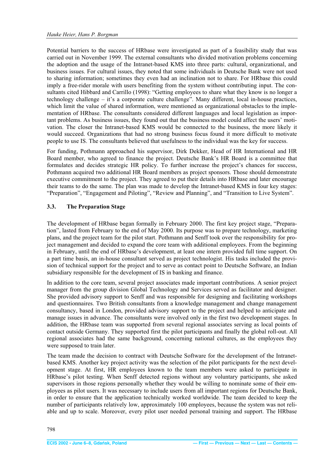<span id="page-5-0"></span>Potential barriers to the success of HRbase were investigated as part of a feasibility study that was carried out in November 1999. The external consultants who divided motivation problems concerning the adoption and the usage of the Intranet-based KMS into three parts: cultural, organizational, and business issues. For cultural issues, they noted that some individuals in Deutsche Bank were not used to sharing information; sometimes they even had an inclination not to share. For HRbase this could imply a free-rider morale with users benefiting from the system without contributing input. The consultants cited Hibbard and Carrillo (1998): "Getting employees to share what they know is no longer a technology challenge – it's a corporate culture challenge". Many different, local in-house practices, which limit the value of shared information, were mentioned as organizational obstacles to the implementation of HRbase. The consultants considered different languages and local legislation as important problems. As business issues, they found out that the business model could affect the users' motivation. The closer the Intranet-based KMS would be connected to the business, the more likely it would succeed. Organizations that had no strong business focus found it more difficult to motivate people to use IS. The consultants believed that usefulness to the individual was the key for success.

For funding, Pothmann approached his supervisor, Dirk Dekker, Head of HR International and HR Board member, who agreed to finance the project. Deutsche Bank's HR Board is a committee that formulates and decides strategic HR policy. To further increase the project's chances for success, Pothmann acquired two additional HR Board members as project sponsors. Those should demonstrate executive commitment to the project. They agreed to put their details into HRbase and later encourage their teams to do the same. The plan was made to develop the Intranet-based KMS in four key stages: "Preparation", "Engagement and Piloting", "Review and Planning", and "Transition to Live System".

#### **3.3. The Preparation Stage**

The development of HRbase began formally in February 2000. The first key project stage, "Preparation", lasted from February to the end of May 2000. Its purpose was to prepare technology, marketing plans, and the project team for the pilot start. Pothmann and Senff took over the responsibility for project management and decided to expand the core team with additional employees. From the beginning in February, until the end of HRbase's development, at least one intern provided full time support. On a part time basis, an in-house consultant served as project technologist. His tasks included the provision of technical support for the project and to serve as contact point to Deutsche Software, an Indian subsidiary responsible for the development of IS in banking and finance.

In addition to the core team, several project associates made important contributions. A senior project manager from the group division Global Technology and Services served as facilitator and designer. She provided advisory support to Senff and was responsible for designing and facilitating workshops and questionnaires. Two British consultants from a knowledge management and change management consultancy, based in London, provided advisory support to the project and helped to anticipate and manage issues in advance. The consultants were involved only in the first two development stages. In addition, the HRbase team was supported from several regional associates serving as local points of contact outside Germany. They supported first the pilot participants and finally the global roll-out. All regional associates had the same background, concerning national cultures, as the employees they were supposed to train later.

The team made the decision to contract with Deutsche Software for the development of the Intranetbased KMS. Another key project activity was the selection of the pilot participants for the next development stage. At first, HR employees known to the team members were asked to participate in HRbase's pilot testing. When Senff detected regions without any voluntary participants, she asked supervisors in those regions personally whether they would be willing to nominate some of their employees as pilot users. It was necessary to include users from all important regions for Deutsche Bank, in order to ensure that the application technically worked worldwide. The team decided to keep the number of participants relatively low, approximately 100 employees, because the system was not reliable and up to scale. Moreover, every pilot user needed personal training and support. The HRbase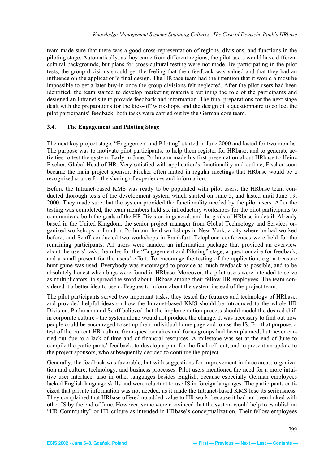<span id="page-6-0"></span>team made sure that there was a good cross-representation of regions, divisions, and functions in the piloting stage. Automatically, as they came from different regions, the pilot users would have different cultural backgrounds, but plans for cross-cultural testing were not made. By participating in the pilot tests, the group divisions should get the feeling that their feedback was valued and that they had an influence on the application's final design. The HRbase team had the intention that it would almost be impossible to get a later buy-in once the group divisions felt neglected. After the pilot users had been identified, the team started to develop marketing materials outlining the role of the participants and designed an Intranet site to provide feedback and information. The final preparations for the next stage dealt with the preparations for the kick-off workshops, and the design of a questionnaire to collect the pilot participants' feedback; both tasks were carried out by the German core team.

#### **3.4. The Engagement and Piloting Stage**

The next key project stage, "Engagement and Piloting" started in June 2000 and lasted for two months. The purpose was to motivate pilot participants, to help them register for HRbase, and to generate activities to test the system. Early in June, Pothmann made his first presentation about HRbase to Heinz Fischer, Global Head of HR. Very satisfied with application's functionality and outline, Fischer soon became the main project sponsor. Fischer often hinted in regular meetings that HRbase would be a recognized source for the sharing of experiences and information.

Before the Intranet-based KMS was ready to be populated with pilot users, the HRbase team conducted thorough tests of the development system which started on June 5, and lasted until June 19, 2000. They made sure that the system provided the functionality needed by the pilot users. After the testing was completed, the team members held six introductory workshops for the pilot participants to communicate both the goals of the HR Division in general, and the goals of HRbase in detail. Already based in the United Kingdom, the senior project manager from Global Technology and Services organized workshops in London. Pothmann held workshops in New York, a city where he had worked before, and Senff conducted two workshops in Frankfurt. Telephone conferences were held for the remaining participants. All users were handed an information package that provided an overview about the users' task, the rules for the "Engagement and Piloting" stage, a questionnaire for feedback, and a small present for the users' effort. To encourage the testing of the application, e.g. a treasure hunt game was used. Everybody was encouraged to provide as much feedback as possible, and to be absolutely honest when bugs were found in HRbase. Moreover, the pilot users were intended to serve as multiplicators, to spread the word about HRbase among their fellow HR employees. The team considered it a better idea to use colleagues to inform about the system instead of the project team.

The pilot participants served two important tasks: they tested the features and technology of HRbase, and provided helpful ideas on how the Intranet-based KMS should be introduced to the whole HR Division. Pothmann and Senff believed that the implementation process should model the desired shift in corporate culture - the system alone would not produce the change. It was necessary to find out how people could be encouraged to set up their individual home page and to use the IS. For that purpose, a test of the current HR culture from questionnaires and focus groups had been planned, but never carried out due to a lack of time and of financial resources. A milestone was set at the end of June to compile the participants' feedback, to develop a plan for the final roll-out, and to present an update to the project sponsors, who subsequently decided to continue the project.

Generally, the feedback was favorable, but with suggestions for improvement in three areas: organization and culture, technology, and business processes. Pilot users mentioned the need for a more intuitive user interface, also in other languages besides English, because especially German employees lacked English language skills and were reluctant to use IS in foreign languages. The participants criticized that private information was not needed, as it made the Intranet-based KMS lose its seriousness. They complained that HRbase offered no added value to HR work, because it had not been linked with other IS by the end of June. However, some were convinced that the system would help to establish an "HR Community" or HR culture as intended in HRbase's conceptualization. Their fellow employees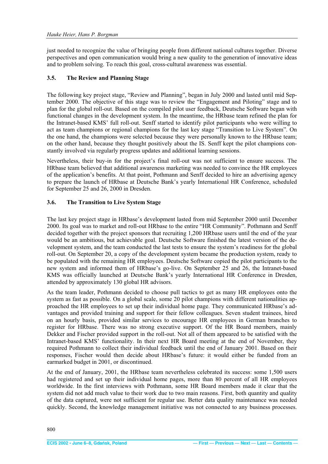<span id="page-7-0"></span>just needed to recognize the value of bringing people from different national cultures together. Diverse perspectives and open communication would bring a new quality to the generation of innovative ideas and to problem solving. To reach this goal, cross-cultural awareness was essential.

### **3.5. The Review and Planning Stage**

The following key project stage, "Review and Planning", began in July 2000 and lasted until mid September 2000. The objective of this stage was to review the "Engagement and Piloting" stage and to plan for the global roll-out. Based on the compiled pilot user feedback, Deutsche Software began with functional changes in the development system. In the meantime, the HRbase team refined the plan for the Intranet-based KMS' full roll-out. Senff started to identify pilot participants who were willing to act as team champions or regional champions for the last key stage "Transition to Live System". On the one hand, the champions were selected because they were personally known to the HRbase team; on the other hand, because they thought positively about the IS. Senff kept the pilot champions constantly involved via regularly progress updates and additional learning sessions.

Nevertheless, their buy-in for the project's final roll-out was not sufficient to ensure success. The HRbase team believed that additional awareness marketing was needed to convince the HR employees of the application's benefits. At that point, Pothmann and Senff decided to hire an advertising agency to prepare the launch of HRbase at Deutsche Bank's yearly International HR Conference, scheduled for September 25 and 26, 2000 in Dresden.

## **3.6. The Transition to Live System Stage**

The last key project stage in HRbase's development lasted from mid September 2000 until December 2000. Its goal was to market and roll-out HRbase to the entire "HR Community". Pothmann and Senff decided together with the project sponsors that recruiting 1,200 HRbase users until the end of the year would be an ambitious, but achievable goal. Deutsche Software finished the latest version of the development system, and the team conducted the last tests to ensure the system's readiness for the global roll-out. On September 20, a copy of the development system became the production system, ready to be populated with the remaining HR employees. Deutsche Software copied the pilot participants to the new system and informed them of HRbase's go-live. On September 25 and 26, the Intranet-based KMS was officially launched at Deutsche Bank's yearly International HR Conference in Dresden, attended by approximately 130 global HR advisors.

As the team leader, Pothmann decided to choose pull tactics to get as many HR employees onto the system as fast as possible. On a global scale, some 20 pilot champions with different nationalities approached the HR employees to set up their individual home page. They communicated HRbase's advantages and provided training and support for their fellow colleagues. Seven student trainees, hired on an hourly basis, provided similar services to encourage HR employees in German branches to register for HRbase. There was no strong executive support. Of the HR Board members, mainly Dekker and Fischer provided support in the roll-out. Not all of them appeared to be satisfied with the Intranet-based KMS<sup>'</sup> functionality. In their next HR Board meeting at the end of November, they required Pothmann to collect their individual feedback until the end of January 2001. Based on their responses, Fischer would then decide about HRbase's future: it would either be funded from an earmarked budget in 2001, or discontinued.

At the end of January, 2001, the HRbase team nevertheless celebrated its success: some 1,500 users had registered and set up their individual home pages, more than 80 percent of all HR employees worldwide. In the first interviews with Pothmann, some HR Board members made it clear that the system did not add much value to their work due to two main reasons. First, both quantity and quality of the data captured, were not sufficient for regular use. Better data quality maintenance was needed quickly. Second, the knowledge management initiative was not connected to any business processes.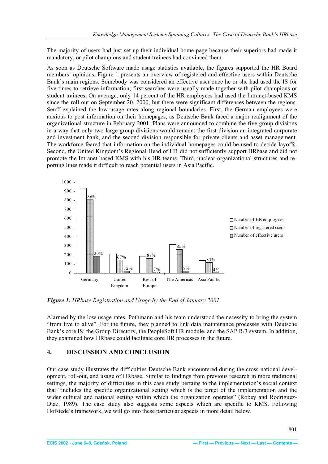<span id="page-8-0"></span>The majority of users had just set up their individual home page because their superiors had made it mandatory, or pilot champions and student trainees had convinced them.

As soon as Deutsche Software made usage statistics available, the figures supported the HR Board members' opinions. Figure 1 presents an overview of registered and effective users within Deutsche Bank's main regions. Somebody was considered an effective user once he or she had used the IS for five times to retrieve information; first searches were usually made together with pilot champions or student trainees. On average, only 14 percent of the HR employees had used the Intranet-based KMS since the roll-out on September 20, 2000, but there were significant differences between the regions. Senff explained the low usage rates along regional boundaries. First, the German employees were anxious to post information on their homepages, as Deutsche Bank faced a major realignment of the organizational structure in February 2001. Plans were announced to combine the five group divisions in a way that only two large group divisions would remain: the first division an integrated corporate and investment bank, and the second division responsible for private clients and asset management. The workforce feared that information on the individual homepages could be used to decide layoffs. Second, the United Kingdom's Regional Head of HR did not sufficiently support HRbase and did not promote the Intranet-based KMS with his HR teams. Third, unclear organizational structures and reporting lines made it difficult to reach potential users in Asia Pacific.



*Figure 1: HRbase Registration and Usage by the End of January 2001* 

Alarmed by the low usage rates, Pothmann and his team understood the necessity to bring the system "from live to alive". For the future, they planned to link data maintenance processes with Deutsche Bank's core IS: the Group Directory, the PeopleSoft HR module, and the SAP R/3 system. In addition, they examined how HRbase could facilitate core HR processes in the future.

#### **4. DISCUSSION AND CONCLUSION**

Our case study illustrates the difficulties Deutsche Bank encountered during the cross-national development, roll-out, and usage of HRbase. Similar to findings from previous research in more traditional settings, the majority of difficulties in this case study pertains to the implementation's social context that "includes the specific organizational setting which is the target of the implementation and the wider cultural and national setting within which the organization operates" (Robey and Rodriguez-Diaz, 1989). The case study also suggests some aspects which are specific to KMS. Following Hofstede's framework, we will go into these particular aspects in more detail below.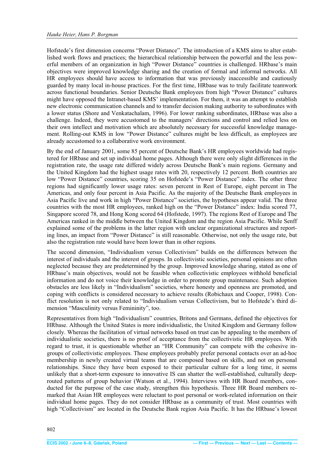<span id="page-9-0"></span>Hofstede's first dimension concerns "Power Distance". The introduction of a KMS aims to alter established work flows and practices; the hierarchical relationship between the powerful and the less powerful members of an organization in high "Power Distance" countries is challenged. HRbase's main objectives were improved knowledge sharing and the creation of formal and informal networks. All HR employees should have access to information that was previously inaccessible and cautiously guarded by many local in-house practices. For the first time, HRbase was to truly facilitate teamwork across functional boundaries. Senior Deutsche Bank employees from high "Power Distance" cultures might have opposed the Intranet-based KMS' implementation. For them, it was an attempt to establish new electronic communication channels and to transfer decision making authority to subordinates with a lower status (Shore and Venkatachalam, 1996). For lower ranking subordinates, HRbase was also a challenge. Indeed, they were accustomed to the managers' directions and control and relied less on their own intellect and motivation which are absolutely necessary for successful knowledge management. Rolling-out KMS in low "Power Distance" cultures might be less difficult, as employees are already accustomed to a collaborative work environment.

By the end of January 2001, some 85 percent of Deutsche Bank's HR employees worldwide had registered for HRbase and set up individual home pages. Although there were only slight differences in the registration rate, the usage rate differed widely across Deutsche Bank's main regions. Germany and the United Kingdom had the highest usage rates with 20, respectively 12 percent. Both countries are low "Power Distance" countries, scoring 35 on Hofstede's "Power Distance" index. The other three regions had significantly lower usage rates: seven percent in Rest of Europe, eight percent in The Americas, and only four percent in Asia Pacific. As the majority of the Deutsche Bank employees in Asia Pacific live and work in high "Power Distance" societies, the hypotheses appear valid. The three countries with the most HR employees, ranked high on the "Power Distance" index: India scored 77, Singapore scored 78, and Hong Kong scored 64 (Hofstede, 1997). The regions Rest of Europe and The Americas ranked in the middle between the United Kingdom and the region Asia Pacific. While Senff explained some of the problems in the latter region with unclear organizational structures and reporting lines, an impact from "Power Distance" is still reasonable. Otherwise, not only the usage rate, but also the registration rate would have been lower than in other regions.

The second dimension, "Individualism versus Collectivism" builds on the differences between the interest of individuals and the interest of groups. In collectivistic societies, personal opinions are often neglected because they are predetermined by the group. Improved knowledge sharing, stated as one of HRbase's main objectives, would not be feasible when collectivistic employees withhold beneficial information and do not voice their knowledge in order to promote group maintenance. Such adoption obstacles are less likely in "Individualism" societies, where honesty and openness are promoted, and coping with conflicts is considered necessary to achieve results (Robichaux and Cooper, 1998). Conflict resolution is not only related to "Individualism versus Collectivism, but to Hofstede's third dimension "Masculinity versus Femininity", too.

Representatives from high "Individualism" countries, Britons and Germans, defined the objectives for HRbase. Although the United States is more individualistic, the United Kingdom and Germany follow closely. Whereas the facilitation of virtual networks based on trust can be appealing to the members of individualistic societies, there is no proof of acceptance from the collectivistic HR employees. With regard to trust, it is questionable whether an "HR Community" can compete with the cohesive ingroups of collectivistic employees. These employees probably prefer personal contacts over an ad-hoc membership in newly created virtual teams that are composed based on skills, and not on personal relationships. Since they have been exposed to their particular culture for a long time, it seems unlikely that a short-term exposure to innovative IS can shatter the well-established, culturally deeprouted patterns of group behavior (Watson et al., 1994). Interviews with HR Board members, conducted for the purpose of the case study, strengthen this hypothesis. Three HR Board members remarked that Asian HR employees were reluctant to post personal or work-related information on their individual home pages. They do not consider HRbase as a community of trust. Most countries with high "Collectivism" are located in the Deutsche Bank region Asia Pacific. It has the HRbase's lowest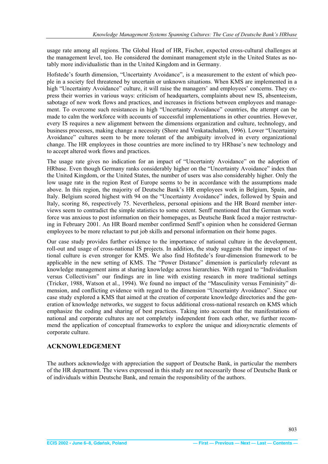<span id="page-10-0"></span>usage rate among all regions. The Global Head of HR, Fischer, expected cross-cultural challenges at the management level, too. He considered the dominant management style in the United States as notably more individualistic than in the United Kingdom and in Germany.

Hofstede's fourth dimension, "Uncertainty Avoidance", is a measurement to the extent of which people in a society feel threatened by uncertain or unknown situations. When KMS are implemented in a high "Uncertainty Avoidance" culture, it will raise the managers' and employees' concerns. They express their worries in various ways: criticism of headquarters, complaints about new IS, absenteeism, sabotage of new work flows and practices, and increases in frictions between employees and management. To overcome such resistances in high "Uncertainty Avoidance" countries, the attempt can be made to calm the workforce with accounts of successful implementations in other countries. However, every IS requires a new alignment between the dimensions organization and culture, technology, and business processes, making change a necessity (Shore and Venkatachalam, 1996). Lower "Uncertainty Avoidance" cultures seem to be more tolerant of the ambiguity involved in every organizational change. The HR employees in those countries are more inclined to try HRbase's new technology and to accept altered work flows and practices.

The usage rate gives no indication for an impact of "Uncertainty Avoidance" on the adoption of HRbase. Even though Germany ranks considerably higher on the "Uncertainty Avoidance" index than the United Kingdom, or the United States, the number of users was also considerably higher. Only the low usage rate in the region Rest of Europe seems to be in accordance with the assumptions made above. In this region, the majority of Deutsche Bank's HR employees work in Belgium, Spain, and Italy. Belgium scored highest with 94 on the "Uncertainty Avoidance" index, followed by Spain and Italy, scoring 86, respectively 75. Nevertheless, personal opinions and the HR Board member interviews seem to contradict the simple statistics to some extent. Senff mentioned that the German workforce was anxious to post information on their homepages, as Deutsche Bank faced a major restructuring in February 2001. An HR Board member confirmed Senff's opinion when he considered German employees to be more reluctant to put job skills and personal information on their home pages.

Our case study provides further evidence to the importance of national culture in the development, roll-out and usage of cross-national IS projects. In addition, the study suggests that the impact of national culture is even stronger for KMS. We also find Hofstede's four-dimension framework to be applicable in the new setting of KMS. The "Power Distance" dimension is particularly relevant as knowledge management aims at sharing knowledge across hierarchies. With regard to "Individualism versus Collectivism" our findings are in line with existing research in more traditional settings (Tricker, 1988, Watson et al., 1994). We found no impact of the "Masculinity versus Femininity" dimension, and conflicting evidence with regard to the dimension "Uncertainty Avoidance". Since our case study explored a KMS that aimed at the creation of corporate knowledge directories and the generation of knowledge networks, we suggest to focus additional cross-national research on KMS which emphasize the coding and sharing of best practices. Taking into account that the manifestations of national and corporate cultures are not completely independent from each other, we further recommend the application of conceptual frameworks to explore the unique and idiosyncratic elements of corporate culture.

#### **ACKNOWLEDGEMENT**

The authors acknowledge with appreciation the support of Deutsche Bank, in particular the members of the HR department. The views expressed in this study are not necessarily those of Deutsche Bank or of individuals within Deutsche Bank, and remain the responsibility of the authors.